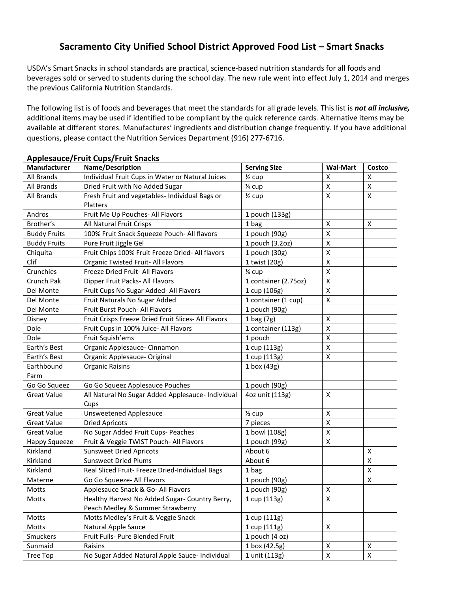## **Sacramento City Unified School District Approved Food List – Smart Snacks**

USDA's Smart Snacks in school standards are practical, science-based nutrition standards for all foods and beverages sold or served to students during the school day. The new rule went into effect July 1, 2014 and merges the previous California Nutrition Standards.

The following list is of foods and beverages that meet the standards for all grade levels. This list is *not all inclusive,*  additional items may be used if identified to be compliant by the quick reference cards*.* Alternative items may be available at different stores. Manufactures' ingredients and distribution change frequently. If you have additional questions, please contact the Nutrition Services Department (916) 277-6716.

| Manufacturer        | Name/Description                                    | <b>Serving Size</b>  | <b>Wal-Mart</b>         | Costco             |
|---------------------|-----------------------------------------------------|----------------------|-------------------------|--------------------|
| <b>All Brands</b>   | Individual Fruit Cups in Water or Natural Juices    | $\frac{1}{2}$ cup    | Χ                       | Χ                  |
| All Brands          | Dried Fruit with No Added Sugar                     | 1⁄4 cup              | X                       | $\pmb{\mathsf{X}}$ |
| All Brands          | Fresh Fruit and vegetables- Individual Bags or      | $\frac{1}{2}$ cup    | X                       | X                  |
|                     | <b>Platters</b>                                     |                      |                         |                    |
| Andros              | Fruit Me Up Pouches- All Flavors                    | 1 pouch (133g)       |                         |                    |
| Brother's           | All Natural Fruit Crisps                            | 1 bag                | Χ                       | X                  |
| <b>Buddy Fruits</b> | 100% Fruit Snack Squeeze Pouch- All flavors         | 1 pouch (90g)        | $\overline{\mathsf{x}}$ |                    |
| <b>Buddy Fruits</b> | Pure Fruit Jiggle Gel                               | 1 pouch (3.2oz)      | Χ                       |                    |
| Chiquita            | Fruit Chips 100% Fruit Freeze Dried- All flavors    | 1 pouch (30g)        | $\pmb{\mathsf{X}}$      |                    |
| Clif                | Organic Twisted Fruit- All Flavors                  | 1 twist (20g)        | Χ                       |                    |
| Crunchies           | Freeze Dried Fruit- All Flavors                     | 1⁄4 cup              | Χ                       |                    |
| Crunch Pak          | Dipper Fruit Packs- All Flavors                     | 1 container (2.75oz) | Χ                       |                    |
| Del Monte           | Fruit Cups No Sugar Added- All Flavors              | 1 cup (106g)         | Χ                       |                    |
| Del Monte           | Fruit Naturals No Sugar Added                       | 1 container (1 cup)  | $\mathsf{X}$            |                    |
| Del Monte           | Fruit Burst Pouch- All Flavors                      | 1 pouch (90g)        |                         |                    |
| Disney              | Fruit Crisps Freeze Dried Fruit Slices- All Flavors | $1$ bag $(7g)$       | X                       |                    |
| Dole                | Fruit Cups in 100% Juice- All Flavors               | 1 container (113g)   | Χ                       |                    |
| Dole                | Fruit Squish'ems                                    | 1 pouch              | Χ                       |                    |
| Earth's Best        | Organic Applesauce- Cinnamon                        | 1 cup (113g)         | X                       |                    |
| Earth's Best        | Organic Applesauce- Original                        | 1 cup (113g)         | Χ                       |                    |
| Earthbound          | <b>Organic Raisins</b>                              | 1 box (43g)          |                         |                    |
| Farm                |                                                     |                      |                         |                    |
| Go Go Squeez        | Go Go Squeez Applesauce Pouches                     | 1 pouch (90g)        |                         |                    |
| <b>Great Value</b>  | All Natural No Sugar Added Applesauce- Individual   | 4oz unit (113g)      | X                       |                    |
|                     | Cups                                                |                      |                         |                    |
| <b>Great Value</b>  | <b>Unsweetened Applesauce</b>                       | $\frac{1}{2}$ cup    | X                       |                    |
| <b>Great Value</b>  | <b>Dried Apricots</b>                               | 7 pieces             | Χ                       |                    |
| <b>Great Value</b>  | No Sugar Added Fruit Cups- Peaches                  | 1 bowl (108g)        | Χ                       |                    |
| Happy Squeeze       | Fruit & Veggie TWIST Pouch- All Flavors             | 1 pouch (99g)        | X                       |                    |
| Kirkland            | <b>Sunsweet Dried Apricots</b>                      | About 6              |                         | X                  |
| Kirkland            | <b>Sunsweet Dried Plums</b>                         | About 6              |                         | $\pmb{\mathsf{X}}$ |
| Kirkland            | Real Sliced Fruit- Freeze Dried-Individual Bags     | 1 bag                |                         | X                  |
| Materne             | Go Go Squeeze- All Flavors                          | 1 pouch (90g)        |                         | Χ                  |
| Motts               | Applesauce Snack & Go- All Flavors                  | 1 pouch (90g)        | X                       |                    |
| Motts               | Healthy Harvest No Added Sugar- Country Berry,      | 1 cup (113g)         | $\pmb{\mathsf{X}}$      |                    |
|                     | Peach Medley & Summer Strawberry                    |                      |                         |                    |
| Motts               | Motts Medley's Fruit & Veggie Snack                 | 1 cup (111g)         |                         |                    |
| Motts               | Natural Apple Sauce                                 | 1 cup (111g)         | X                       |                    |
| Smuckers            | Fruit Fulls- Pure Blended Fruit                     | 1 pouch $(4 oz)$     |                         |                    |
| Sunmaid             | Raisins                                             | 1 box (42.5g)        | X                       | X                  |
| Tree Top            | No Sugar Added Natural Apple Sauce- Individual      | 1 unit (113g)        | $\mathsf{X}$            | $\mathsf{X}$       |

#### **Applesauce/Fruit Cups/Fruit Snacks**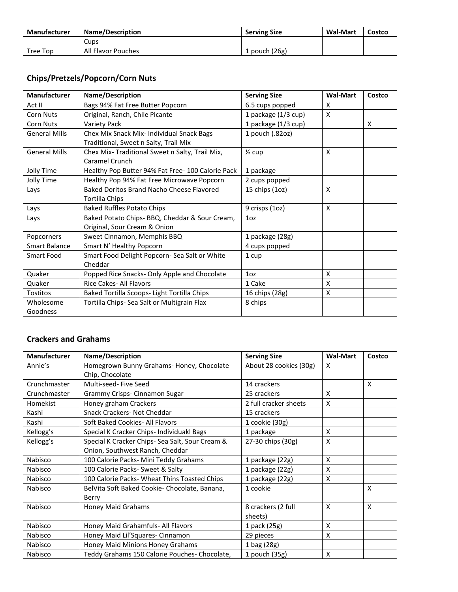| Manufacturer | <b>Name/Description</b> | <b>Serving Size</b> | <b>Wal-Mart</b> | Costco |
|--------------|-------------------------|---------------------|-----------------|--------|
|              | Cups                    |                     |                 |        |
| Tree Top     | All Flavor Pouches      | . pouch (26g)       |                 |        |

#### **Chips/Pretzels/Popcorn/Corn Nuts**

| <b>Manufacturer</b>  | Name/Description                                  | <b>Serving Size</b> | <b>Wal-Mart</b>           | Costco |
|----------------------|---------------------------------------------------|---------------------|---------------------------|--------|
| Act II               | Bags 94% Fat Free Butter Popcorn                  | 6.5 cups popped     | X                         |        |
| <b>Corn Nuts</b>     | Original, Ranch, Chile Picante                    | 1 package (1/3 cup) | X                         |        |
| <b>Corn Nuts</b>     | <b>Variety Pack</b>                               | 1 package (1/3 cup) |                           | X      |
| <b>General Mills</b> | Chex Mix Snack Mix- Individual Snack Bags         | 1 pouch (.82oz)     |                           |        |
|                      | Traditional, Sweet n Salty, Trail Mix             |                     |                           |        |
| <b>General Mills</b> | Chex Mix-Traditional Sweet n Salty, Trail Mix,    | $\frac{1}{2}$ cup   | X                         |        |
|                      | Caramel Crunch                                    |                     |                           |        |
| Jolly Time           | Healthy Pop Butter 94% Fat Free- 100 Calorie Pack | 1 package           |                           |        |
| Jolly Time           | Healthy Pop 94% Fat Free Microwave Popcorn        | 2 cups popped       |                           |        |
| Lays                 | Baked Doritos Brand Nacho Cheese Flavored         | 15 chips (1oz)      | $\boldsymbol{\mathsf{x}}$ |        |
|                      | Tortilla Chips                                    |                     |                           |        |
| Lays                 | <b>Baked Ruffles Potato Chips</b>                 | 9 crisps (1oz)      | X                         |        |
| Lays                 | Baked Potato Chips- BBQ, Cheddar & Sour Cream,    | 10 <sub>z</sub>     |                           |        |
|                      | Original, Sour Cream & Onion                      |                     |                           |        |
| Popcorners           | Sweet Cinnamon, Memphis BBQ                       | 1 package (28g)     |                           |        |
| <b>Smart Balance</b> | Smart N' Healthy Popcorn                          | 4 cups popped       |                           |        |
| Smart Food           | Smart Food Delight Popcorn- Sea Salt or White     | 1 cup               |                           |        |
|                      | Cheddar                                           |                     |                           |        |
| Quaker               | Popped Rice Snacks- Only Apple and Chocolate      | 10 <sub>z</sub>     | X                         |        |
| Quaker               | Rice Cakes- All Flavors                           | 1 Cake              | X                         |        |
| <b>Tostitos</b>      | Baked Tortilla Scoops- Light Tortilla Chips       | 16 chips (28g)      | X                         |        |
| Wholesome            | Tortilla Chips- Sea Salt or Multigrain Flax       | 8 chips             |                           |        |
| Goodness             |                                                   |                     |                           |        |

#### **Crackers and Grahams**

| <b>Manufacturer</b> | Name/Description                                | <b>Serving Size</b>    | <b>Wal-Mart</b> | Costco |
|---------------------|-------------------------------------------------|------------------------|-----------------|--------|
| Annie's             | Homegrown Bunny Grahams- Honey, Chocolate       | About 28 cookies (30g) | x               |        |
|                     | Chip, Chocolate                                 |                        |                 |        |
| Crunchmaster        | Multi-seed-Five Seed                            | 14 crackers            |                 | X      |
| Crunchmaster        | Grammy Crisps- Cinnamon Sugar                   | 25 crackers            | X               |        |
| Homekist            | Honey graham Crackers                           | 2 full cracker sheets  | X               |        |
| Kashi               | Snack Crackers- Not Cheddar                     | 15 crackers            |                 |        |
| Kashi               | Soft Baked Cookies- All Flavors                 | 1 cookie (30g)         |                 |        |
| Kellogg's           | Special K Cracker Chips- Individuakl Bags       | 1 package              | X               |        |
| Kellogg's           | Special K Cracker Chips- Sea Salt, Sour Cream & | 27-30 chips (30g)      | X               |        |
|                     | Onion, Southwest Ranch, Cheddar                 |                        |                 |        |
| Nabisco             | 100 Calorie Packs- Mini Teddy Grahams           | 1 package (22g)        | X               |        |
| Nabisco             | 100 Calorie Packs- Sweet & Salty                | 1 package (22g)        | X               |        |
| Nabisco             | 100 Calorie Packs- Wheat Thins Toasted Chips    | 1 package (22g)        | X               |        |
| Nabisco             | BelVita Soft Baked Cookie-Chocolate, Banana,    | 1 cookie               |                 | X      |
|                     | Berry                                           |                        |                 |        |
| Nabisco             | Honey Maid Grahams                              | 8 crackers (2 full     | X               | X      |
|                     |                                                 | sheets)                |                 |        |
| Nabisco             | Honey Maid Grahamfuls- All Flavors              | 1 pack (25g)           | X               |        |
| Nabisco             | Honey Maid Lil'Squares- Cinnamon                | 29 pieces              | X               |        |
| Nabisco             | Honey Maid Minions Honey Grahams                | 1 bag (28g)            |                 |        |
| Nabisco             | Teddy Grahams 150 Calorie Pouches- Chocolate,   | 1 pouch $(35g)$        | X               |        |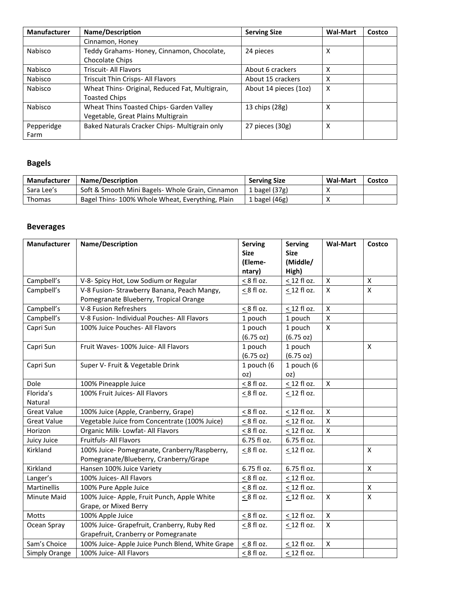| <b>Manufacturer</b> | <b>Name/Description</b>                         | <b>Serving Size</b>   | <b>Wal-Mart</b> | Costco |
|---------------------|-------------------------------------------------|-----------------------|-----------------|--------|
|                     | Cinnamon, Honey                                 |                       |                 |        |
| Nabisco             | Teddy Grahams-Honey, Cinnamon, Chocolate,       | 24 pieces             | x               |        |
|                     | Chocolate Chips                                 |                       |                 |        |
| Nabisco             | <b>Triscuit- All Flavors</b>                    | About 6 crackers      | χ               |        |
| Nabisco             | Triscuit Thin Crisps- All Flavors               | About 15 crackers     | x               |        |
| Nabisco             | Wheat Thins- Original, Reduced Fat, Multigrain, | About 14 pieces (1oz) | x               |        |
|                     | <b>Toasted Chips</b>                            |                       |                 |        |
| Nabisco             | Wheat Thins Toasted Chips- Garden Valley        | 13 chips (28g)        | x               |        |
|                     | Vegetable, Great Plains Multigrain              |                       |                 |        |
| Pepperidge          | Baked Naturals Cracker Chips- Multigrain only   | 27 pieces (30g)       | x               |        |
| Farm                |                                                 |                       |                 |        |

## **Bagels**

| Manufacturer | <b>Name/Description</b>                          | <b>Serving Size</b> | <b>Wal-Mart</b> | Costco |
|--------------|--------------------------------------------------|---------------------|-----------------|--------|
| Sara Lee's   | Soft & Smooth Mini Bagels- Whole Grain, Cinnamon | 1 bagel $(37g)$     |                 |        |
| Thomas       | Bagel Thins-100% Whole Wheat, Everything, Plain  | 1 bagel $(46g)$     |                 |        |

#### **Beverages**

| Manufacturer       | Name/Description                                 | <b>Serving</b>  | <b>Serving</b>   | <b>Wal-Mart</b>    | Costco             |
|--------------------|--------------------------------------------------|-----------------|------------------|--------------------|--------------------|
|                    |                                                  | <b>Size</b>     | <b>Size</b>      |                    |                    |
|                    |                                                  | (Eleme-         | (Middle/         |                    |                    |
|                    |                                                  | ntary)          | High)            |                    |                    |
| Campbell's         | V-8- Spicy Hot, Low Sodium or Regular            | $< 8$ fl oz.    | < 12 fl oz.      | $\mathsf X$        | X                  |
| Campbell's         | V-8 Fusion- Strawberry Banana, Peach Mangy,      | $< 8$ fl oz.    | < 12 fl oz.      | $\mathsf{x}$       | $\pmb{\mathsf{X}}$ |
|                    | Pomegranate Blueberry, Tropical Orange           |                 |                  |                    |                    |
| Campbell's         | V-8 Fusion Refreshers                            | $\leq$ 8 fl oz. | $\leq$ 12 fl oz. | X                  |                    |
| Campbell's         | V-8 Fusion- Individual Pouches- All Flavors      | 1 pouch         | 1 pouch          | $\overline{X}$     |                    |
| Capri Sun          | 100% Juice Pouches- All Flavors                  | 1 pouch         | 1 pouch          | $\mathsf{x}$       |                    |
|                    |                                                  | (6.75 oz)       | (6.75 oz)        |                    |                    |
| Capri Sun          | Fruit Waves- 100% Juice- All Flavors             | 1 pouch         | 1 pouch          |                    | X                  |
|                    |                                                  | (6.75 oz)       | (6.75 oz)        |                    |                    |
| Capri Sun          | Super V- Fruit & Vegetable Drink                 | 1 pouch (6      | 1 pouch (6       |                    |                    |
|                    |                                                  | oz)             | oz)              |                    |                    |
| Dole               | 100% Pineapple Juice                             | $\leq$ 8 fl oz. | < 12 fl oz.      | $\mathsf{x}$       |                    |
| Florida's          | 100% Fruit Juices- All Flavors                   | $\leq$ 8 fl oz. | $\leq$ 12 fl oz. |                    |                    |
| Natural            |                                                  |                 |                  |                    |                    |
| <b>Great Value</b> | 100% Juice (Apple, Cranberry, Grape)             | $< 8$ fl oz.    | < 12 fl oz.      | $\mathsf{x}$       |                    |
| <b>Great Value</b> | Vegetable Juice from Concentrate (100% Juice)    | $< 8$ fl oz.    | < 12 fl oz.      | $\mathsf X$        |                    |
| Horizon            | Organic Milk-Lowfat- All Flavors                 | $< 8$ fl oz.    | < 12 fl oz.      | $\mathsf{x}$       |                    |
| Juicy Juice        | Fruitfuls- All Flavors                           | 6.75 fl oz.     | 6.75 fl oz.      |                    |                    |
| Kirkland           | 100% Juice- Pomegranate, Cranberry/Raspberry,    | $< 8$ fl oz.    | $\leq$ 12 fl oz. |                    | X                  |
|                    | Pomegranate/Blueberry, Cranberry/Grape           |                 |                  |                    |                    |
| Kirkland           | Hansen 100% Juice Variety                        | 6.75 fl oz.     | 6.75 fl oz.      |                    | X                  |
| Langer's           | 100% Juices- All Flavors                         | $< 8$ fl oz.    | < 12 fl oz.      |                    |                    |
| Martinellis        | 100% Pure Apple Juice                            | $< 8$ fl oz.    | < 12 fl oz.      |                    | $\pmb{\mathsf{X}}$ |
| Minute Maid        | 100% Juice- Apple, Fruit Punch, Apple White      | $\leq$ 8 fl oz. | $\leq$ 12 fl oz. | X                  | X                  |
|                    | Grape, or Mixed Berry                            |                 |                  |                    |                    |
| Motts              | 100% Apple Juice                                 | $< 8$ fl oz.    | < 12 fl oz.      | $\pmb{\mathsf{X}}$ |                    |
| Ocean Spray        | 100% Juice- Grapefruit, Cranberry, Ruby Red      | $\leq$ 8 fl oz. | $\leq$ 12 fl oz. | $\mathsf{x}$       |                    |
|                    | Grapefruit, Cranberry or Pomegranate             |                 |                  |                    |                    |
| Sam's Choice       | 100% Juice- Apple Juice Punch Blend, White Grape | $\leq$ 8 fl oz. | $\leq$ 12 fl oz. | X                  |                    |
| Simply Orange      | 100% Juice- All Flavors                          | $< 8$ fl oz.    | < 12 fl oz.      |                    |                    |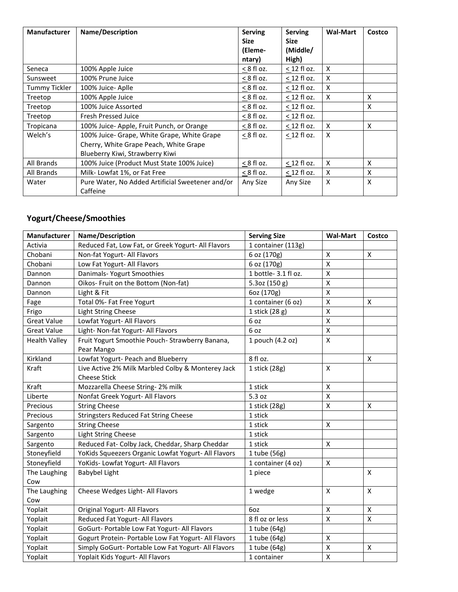| <b>Manufacturer</b>  | <b>Name/Description</b>                          | <b>Serving</b> | <b>Serving</b> | <b>Wal-Mart</b> | Costco |
|----------------------|--------------------------------------------------|----------------|----------------|-----------------|--------|
|                      |                                                  | <b>Size</b>    | <b>Size</b>    |                 |        |
|                      |                                                  | (Eleme-        | (Middle/       |                 |        |
|                      |                                                  | ntary)         | High)          |                 |        |
| Seneca               | 100% Apple Juice                                 | $< 8$ fl oz.   | $<$ 12 fl oz.  | X               |        |
| Sunsweet             | 100% Prune Juice                                 | $< 8$ fl oz.   | $<$ 12 fl oz.  | X               |        |
| <b>Tummy Tickler</b> | 100% Juice- Aplle                                | $< 8$ fl oz.   | $<$ 12 fl oz.  | X               |        |
| Treetop              | 100% Apple Juice                                 | $< 8$ fl oz.   | $<$ 12 fl oz.  | X               | X      |
| Treetop              | 100% Juice Assorted                              | $< 8$ fl oz.   | $<$ 12 fl oz.  |                 | X      |
| Treetop              | <b>Fresh Pressed Juice</b>                       | $< 8$ fl oz.   | $<$ 12 fl oz.  |                 |        |
| Tropicana            | 100% Juice- Apple, Fruit Punch, or Orange        | $< 8$ fl oz.   | $<$ 12 fl oz.  | X               | X      |
| Welch's              | 100% Juice- Grape, White Grape, White Grape      | $< 8$ fl oz.   | $<$ 12 fl oz.  | X               |        |
|                      | Cherry, White Grape Peach, White Grape           |                |                |                 |        |
|                      | Blueberry Kiwi, Strawberry Kiwi                  |                |                |                 |        |
| All Brands           | 100% Juice (Product Must State 100% Juice)       | $< 8$ fl oz.   | $<$ 12 fl oz.  | X               | X      |
| All Brands           | Milk-Lowfat 1%, or Fat Free                      | $< 8$ fl oz.   | $<$ 12 fl oz.  | X               | X      |
| Water                | Pure Water, No Added Artificial Sweetener and/or | Any Size       | Any Size       | X               | X      |
|                      | Caffeine                                         |                |                |                 |        |

# **Yogurt/Cheese/Smoothies**

| Manufacturer         | Name/Description                                     | <b>Serving Size</b> | <b>Wal-Mart</b>    | Costco                    |
|----------------------|------------------------------------------------------|---------------------|--------------------|---------------------------|
| Activia              | Reduced Fat, Low Fat, or Greek Yogurt- All Flavors   | 1 container (113g)  |                    |                           |
| Chobani              | Non-fat Yogurt- All Flavors                          | 6 oz (170g)         | X                  | X                         |
| Chobani              | Low Fat Yogurt- All Flavors                          | 6 oz (170g)         | $\mathsf{x}$       |                           |
| Dannon               | Danimals- Yogurt Smoothies                           | 1 bottle-3.1 fl oz. | $\mathsf{x}$       |                           |
| Dannon               | Oikos- Fruit on the Bottom (Non-fat)                 | 5.3oz (150 g)       | $\mathsf X$        |                           |
| Dannon               | Light & Fit                                          | 6oz (170g)          | $\pmb{\mathsf{X}}$ |                           |
| Fage                 | Total 0%- Fat Free Yogurt                            | 1 container (6 oz)  | Χ                  | X                         |
| Frigo                | Light String Cheese                                  | 1 stick (28 g)      | $\mathsf{X}$       |                           |
| <b>Great Value</b>   | Lowfat Yogurt- All Flavors                           | 6 oz                | $\mathsf{X}$       |                           |
| <b>Great Value</b>   | Light- Non-fat Yogurt- All Flavors                   | 6 oz                | $\mathsf{X}$       |                           |
| <b>Health Valley</b> | Fruit Yogurt Smoothie Pouch-Strawberry Banana,       | 1 pouch (4.2 oz)    | $\mathsf{X}$       |                           |
|                      | Pear Mango                                           |                     |                    |                           |
| Kirkland             | Lowfat Yogurt- Peach and Blueberry                   | 8 fl oz.            |                    | $\boldsymbol{\mathsf{x}}$ |
| Kraft                | Live Active 2% Milk Marbled Colby & Monterey Jack    | 1 stick (28g)       | X                  |                           |
|                      | <b>Cheese Stick</b>                                  |                     |                    |                           |
| Kraft                | Mozzarella Cheese String-2% milk                     | 1 stick             | $\pmb{\mathsf{X}}$ |                           |
| Liberte              | Nonfat Greek Yogurt- All Flavors                     | 5.3 oz              | X                  |                           |
| Precious             | <b>String Cheese</b>                                 | 1 stick (28g)       | X                  | X                         |
| Precious             | <b>Stringsters Reduced Fat String Cheese</b>         | 1 stick             |                    |                           |
| Sargento             | <b>String Cheese</b>                                 | 1 stick             | $\pmb{\mathsf{X}}$ |                           |
| Sargento             | <b>Light String Cheese</b>                           | 1 stick             |                    |                           |
| Sargento             | Reduced Fat- Colby Jack, Cheddar, Sharp Cheddar      | 1 stick             | X                  |                           |
| Stoneyfield          | YoKids Squeezers Organic Lowfat Yogurt- All Flavors  | 1 tube (56g)        |                    |                           |
| Stoneyfield          | YoKids- Lowfat Yogurt- All Flavors                   | 1 container (4 oz)  | X                  |                           |
| The Laughing         | Babybel Light                                        | 1 piece             |                    | X                         |
| Cow                  |                                                      |                     |                    |                           |
| The Laughing         | Cheese Wedges Light- All Flavors                     | 1 wedge             | X                  | $\mathsf{x}$              |
| Cow                  |                                                      |                     |                    |                           |
| Yoplait              | Original Yogurt- All Flavors                         | 6oz                 | $\mathsf{X}$       | $\pmb{\mathsf{X}}$        |
| Yoplait              | Reduced Fat Yogurt- All Flavors                      | 8 fl oz or less     | $\mathsf{X}$       | $\pmb{\mathsf{X}}$        |
| Yoplait              | GoGurt- Portable Low Fat Yogurt- All Flavors         | 1 tube (64g)        |                    |                           |
| Yoplait              | Gogurt Protein- Portable Low Fat Yogurt- All Flavors | 1 tube (64g)        | Χ                  |                           |
| Yoplait              | Simply GoGurt- Portable Low Fat Yogurt- All Flavors  | 1 tube (64g)        | Χ                  | X                         |
| Yoplait              | Yoplait Kids Yogurt- All Flavors                     | 1 container         | $\pmb{\mathsf{X}}$ |                           |